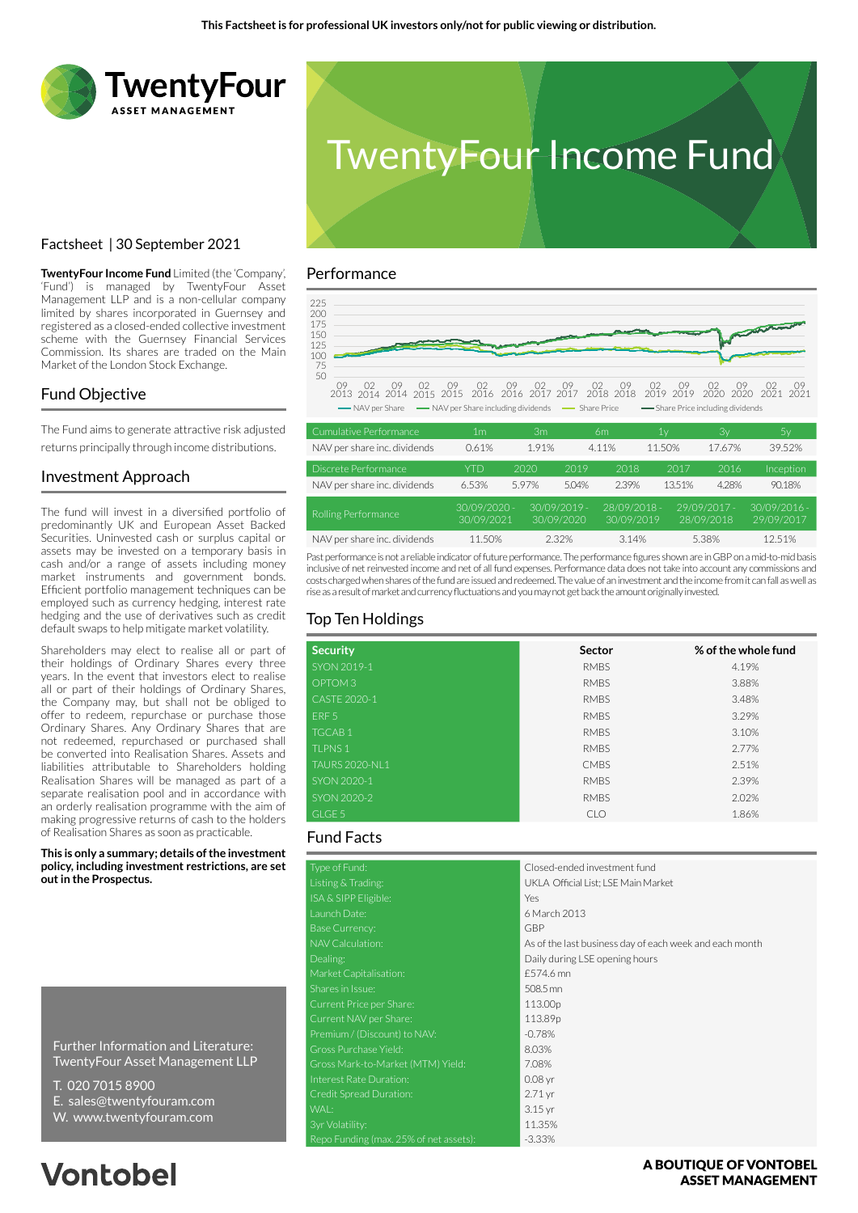



# Factsheet | 30 September 2021

**TwentyFour Income Fund** Limited (the 'Company', 'Fund') is managed by TwentyFour Asset Management LLP and is a non-cellular company limited by shares incorporated in Guernsey and registered as a closed-ended collective investment scheme with the Guernsey Financial Services Commission. Its shares are traded on the Main Market of the London Stock Exchange.

### Fund Objective

The Fund aims to generate attractive risk adjusted returns principally through income distributions.

### Investment Approach

The fund will invest in a diversified portfolio of predominantly UK and European Asset Backed Securities. Uninvested cash or surplus capital or assets may be invested on a temporary basis in cash and/or a range of assets including money market instruments and government bonds. Efficient portfolio management techniques can be employed such as currency hedging, interest rate hedging and the use of derivatives such as credit default swaps to help mitigate market volatility.

Shareholders may elect to realise all or part of their holdings of Ordinary Shares every three years. In the event that investors elect to realise all or part of their holdings of Ordinary Shares, the Company may, but shall not be obliged to offer to redeem, repurchase or purchase those Ordinary Shares. Any Ordinary Shares that are not redeemed, repurchased or purchased shall be converted into Realisation Shares. Assets and liabilities attributable to Shareholders holding Realisation Shares will be managed as part of a separate realisation pool and in accordance with an orderly realisation programme with the aim of making progressive returns of cash to the holders of Realisation Shares as soon as practicable.

**This is only a summary; details of the investment policy, including investment restrictions, are set out in the Prospectus.**

Further Information and Literature: TwentyFour Asset Management LLP

- T. 020 7015 8900
- E. sales@twentyfouram.com
- W. www.twentyfouram.com

# **Vontobel**

### Performance



| NAV per share inc. dividends | 0.61%                      | 1.91%                        |       | 4.11%                      | 11.50% | 17.67%                       | 39.52%                       |
|------------------------------|----------------------------|------------------------------|-------|----------------------------|--------|------------------------------|------------------------------|
| Discrete Performance         | YTD                        | 2020                         | 2019  | 2018                       | 2017   | 2016                         | <b>Inception</b>             |
| NAV per share inc. dividends | 6.53%                      | 5.97%                        | 5.04% | 2.39%                      | 13.51% | 4.28%                        | 90.18%                       |
| Rolling Performance          | 30/09/2020 -<br>30/09/2021 | $30/09/2019 -$<br>30/09/2020 |       | 28/09/2018 -<br>30/09/2019 |        | $29/09/2017 -$<br>28/09/2018 | $30/09/2016 -$<br>29/09/2017 |
| NAV per share inc. dividends | 11.50%                     | 2.32%                        |       | 3.14%                      |        | 5.38%                        | 12.51%                       |

Past performance is not a reliable indicator of future performance. The performance figures shown are in GBP on a mid-to-mid basis inclusive of net reinvested income and net of all fund expenses. Performance data does not take into account any commissions and costs charged when shares of the fund are issued and redeemed. The value of an investment and the income from it can fall as well as rise as a result of market and currency fluctuations and you may not get back the amount originally invested.

# Top Ten Holdings

| <b>Security</b>       | Sector      | % of the whole fund |
|-----------------------|-------------|---------------------|
| SYON 2019-1           | <b>RMBS</b> | 4.19%               |
| OPTOM <sub>3</sub>    | <b>RMBS</b> | 3.88%               |
| CASTE 2020-1          | <b>RMBS</b> | 3.48%               |
| ERF <sub>5</sub>      | <b>RMBS</b> | 3.29%               |
| <b>TGCAB1</b>         | <b>RMBS</b> | 3.10%               |
| <b>TLPNS1</b>         | <b>RMBS</b> | 2.77%               |
| <b>TAURS 2020-NL1</b> | <b>CMBS</b> | 2.51%               |
| SYON 2020-1           | <b>RMBS</b> | 2.39%               |
| SYON 2020-2           | <b>RMBS</b> | 2.02%               |
| GLGE 5                | <b>CLO</b>  | 1.86%               |

## Fund Facts

| Type of Fund:                          | Closed-ended investment fund                            |
|----------------------------------------|---------------------------------------------------------|
| Listing & Trading:                     | UKLA Official List; LSE Main Market                     |
| ISA & SIPP Eligible:                   | Yes                                                     |
| Launch Date:                           | 6 March 2013                                            |
| <b>Base Currency:</b>                  | <b>GBP</b>                                              |
| NAV Calculation:                       | As of the last business day of each week and each month |
| Dealing:                               | Daily during LSE opening hours                          |
| Market Capitalisation:                 | £574.6 mn                                               |
| Shares in Issue:                       | 508.5 mn                                                |
| Current Price per Share:               | 113.00p                                                 |
| Current NAV per Share:                 | 113.89p                                                 |
| Premium / (Discount) to NAV:           | $-0.78%$                                                |
| Gross Purchase Yield:                  | 8.03%                                                   |
| Gross Mark-to-Market (MTM) Yield:      | 7.08%                                                   |
| Interest Rate Duration:                | $0.08$ yr                                               |
| Credit Spread Duration:                | $2.71$ yr                                               |
| WAL:                                   | $3.15$ yr                                               |
| 3yr Volatility:                        | 11.35%                                                  |
| Repo Funding (max. 25% of net assets): | $-3.33%$                                                |

### A BOUTIOUE OF VONTOBEL **ASSET MANAGEMENT**